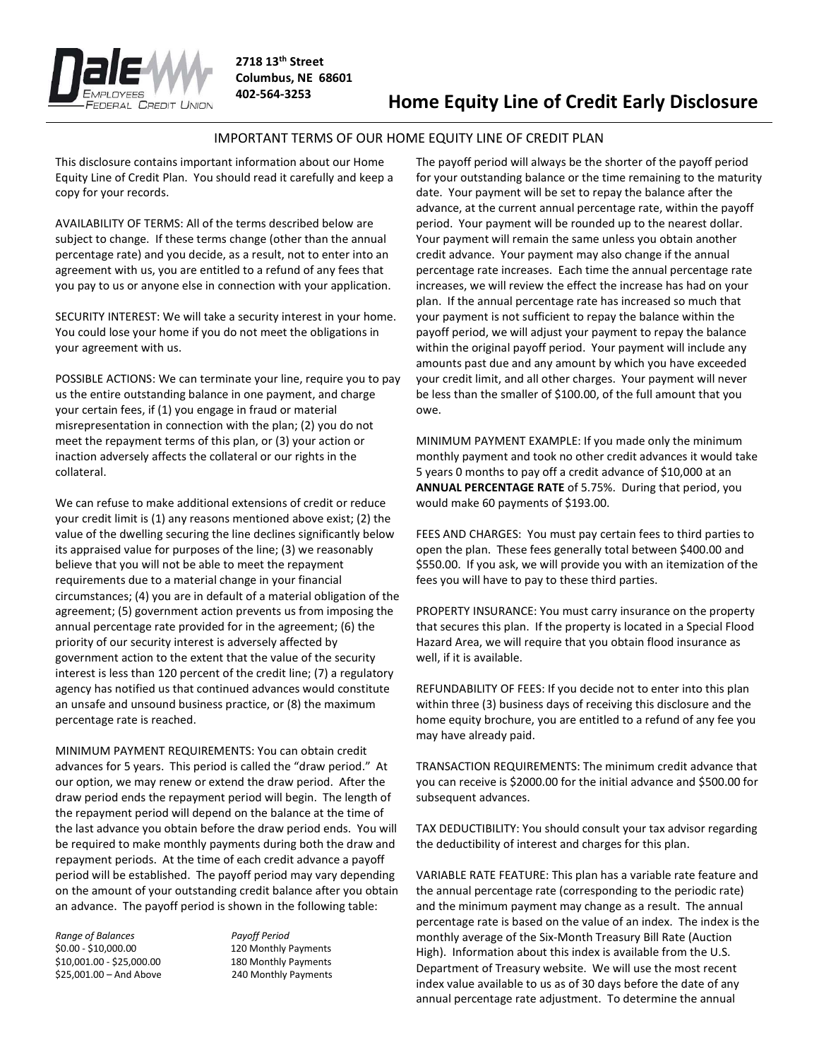

## Home Equity Line of Credit Early Disclosure

## IMPORTANT TERMS OF OUR HOME EQUITY LINE OF CREDIT PLAN

This disclosure contains important information about our Home Equity Line of Credit Plan. You should read it carefully and keep a copy for your records.

AVAILABILITY OF TERMS: All of the terms described below are subject to change. If these terms change (other than the annual percentage rate) and you decide, as a result, not to enter into an agreement with us, you are entitled to a refund of any fees that you pay to us or anyone else in connection with your application.

SECURITY INTEREST: We will take a security interest in your home. You could lose your home if you do not meet the obligations in your agreement with us.

POSSIBLE ACTIONS: We can terminate your line, require you to pay us the entire outstanding balance in one payment, and charge your certain fees, if (1) you engage in fraud or material misrepresentation in connection with the plan; (2) you do not meet the repayment terms of this plan, or (3) your action or inaction adversely affects the collateral or our rights in the collateral.

We can refuse to make additional extensions of credit or reduce your credit limit is (1) any reasons mentioned above exist; (2) the value of the dwelling securing the line declines significantly below its appraised value for purposes of the line; (3) we reasonably believe that you will not be able to meet the repayment requirements due to a material change in your financial circumstances; (4) you are in default of a material obligation of the agreement; (5) government action prevents us from imposing the annual percentage rate provided for in the agreement; (6) the priority of our security interest is adversely affected by government action to the extent that the value of the security interest is less than 120 percent of the credit line; (7) a regulatory agency has notified us that continued advances would constitute an unsafe and unsound business practice, or (8) the maximum percentage rate is reached.

MINIMUM PAYMENT REQUIREMENTS: You can obtain credit advances for 5 years. This period is called the "draw period." At our option, we may renew or extend the draw period. After the draw period ends the repayment period will begin. The length of the repayment period will depend on the balance at the time of the last advance you obtain before the draw period ends. You will be required to make monthly payments during both the draw and repayment periods. At the time of each credit advance a payoff period will be established. The payoff period may vary depending on the amount of your outstanding credit balance after you obtain an advance. The payoff period is shown in the following table:

Range of Balances Payoff Period \$0.00 - \$10,000.00 120 Monthly Payments \$10,001.00 - \$25,000.00 180 Monthly Payments \$25,001.00 – And Above 240 Monthly Payments

The payoff period will always be the shorter of the payoff period for your outstanding balance or the time remaining to the maturity date. Your payment will be set to repay the balance after the advance, at the current annual percentage rate, within the payoff period. Your payment will be rounded up to the nearest dollar. Your payment will remain the same unless you obtain another credit advance. Your payment may also change if the annual percentage rate increases. Each time the annual percentage rate increases, we will review the effect the increase has had on your plan. If the annual percentage rate has increased so much that your payment is not sufficient to repay the balance within the payoff period, we will adjust your payment to repay the balance within the original payoff period. Your payment will include any amounts past due and any amount by which you have exceeded your credit limit, and all other charges. Your payment will never be less than the smaller of \$100.00, of the full amount that you owe.

MINIMUM PAYMENT EXAMPLE: If you made only the minimum monthly payment and took no other credit advances it would take 5 years 0 months to pay off a credit advance of \$10,000 at an ANNUAL PERCENTAGE RATE of 5.75%. During that period, you would make 60 payments of \$193.00.

FEES AND CHARGES: You must pay certain fees to third parties to open the plan. These fees generally total between \$400.00 and \$550.00. If you ask, we will provide you with an itemization of the fees you will have to pay to these third parties.

PROPERTY INSURANCE: You must carry insurance on the property that secures this plan. If the property is located in a Special Flood Hazard Area, we will require that you obtain flood insurance as well, if it is available.

REFUNDABILITY OF FEES: If you decide not to enter into this plan within three (3) business days of receiving this disclosure and the home equity brochure, you are entitled to a refund of any fee you may have already paid.

TRANSACTION REQUIREMENTS: The minimum credit advance that you can receive is \$2000.00 for the initial advance and \$500.00 for subsequent advances.

TAX DEDUCTIBILITY: You should consult your tax advisor regarding the deductibility of interest and charges for this plan.

VARIABLE RATE FEATURE: This plan has a variable rate feature and the annual percentage rate (corresponding to the periodic rate) and the minimum payment may change as a result. The annual percentage rate is based on the value of an index. The index is the monthly average of the Six-Month Treasury Bill Rate (Auction High). Information about this index is available from the U.S. Department of Treasury website. We will use the most recent index value available to us as of 30 days before the date of any annual percentage rate adjustment. To determine the annual